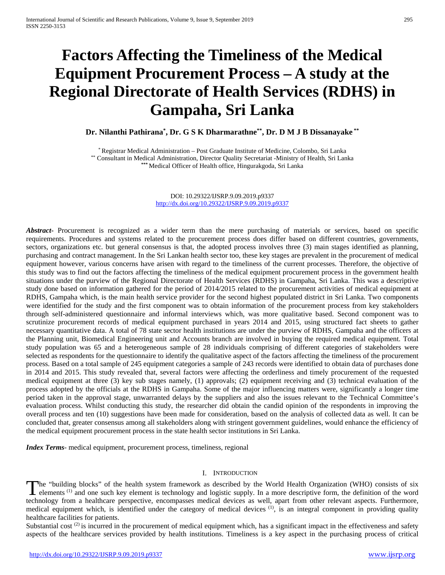# **Factors Affecting the Timeliness of the Medical Equipment Procurement Process – A study at the Regional Directorate of Health Services (RDHS) in Gampaha, Sri Lanka**

**Dr. Nilanthi Pathirana\* , Dr. G S K Dharmarathne\*\*, Dr. D M J B Dissanayake \*\***

\*Registrar Medical Administration – Post Graduate Institute of Medicine, Colombo, Sri Lanka \*\* Consultant in Medical Administration, Director Quality Secretariat -Ministry of Health, Sri Lanka **\*\*\*** Medical Officer of Health office, Hingurakgoda, Sri Lanka

> DOI: 10.29322/IJSRP.9.09.2019.p9337 <http://dx.doi.org/10.29322/IJSRP.9.09.2019.p9337>

*Abstract***-** Procurement is recognized as a wider term than the mere purchasing of materials or services, based on specific requirements. Procedures and systems related to the procurement process does differ based on different countries, governments, sectors, organizations etc. but general consensus is that, the adopted process involves three (3) main stages identified as planning, purchasing and contract management. In the Sri Lankan health sector too, these key stages are prevalent in the procurement of medical equipment however, various concerns have arisen with regard to the timeliness of the current processes. Therefore, the objective of this study was to find out the factors affecting the timeliness of the medical equipment procurement process in the government health situations under the purview of the Regional Directorate of Health Services (RDHS) in Gampaha, Sri Lanka. This was a descriptive study done based on information gathered for the period of 2014/2015 related to the procurement activities of medical equipment at RDHS, Gampaha which, is the main health service provider for the second highest populated district in Sri Lanka. Two components were identified for the study and the first component was to obtain information of the procurement process from key stakeholders through self-administered questionnaire and informal interviews which, was more qualitative based. Second component was to scrutinize procurement records of medical equipment purchased in years 2014 and 2015, using structured fact sheets to gather necessary quantitative data. A total of 78 state sector health institutions are under the purview of RDHS, Gampaha and the officers at the Planning unit, Biomedical Engineering unit and Accounts branch are involved in buying the required medical equipment. Total study population was 65 and a heterogeneous sample of 28 individuals comprising of different categories of stakeholders were selected as respondents for the questionnaire to identify the qualitative aspect of the factors affecting the timeliness of the procurement process. Based on a total sample of 245 equipment categories a sample of 243 records were identified to obtain data of purchases done in 2014 and 2015. This study revealed that, several factors were affecting the orderliness and timely procurement of the requested medical equipment at three (3) key sub stages namely, (1) approvals; (2) equipment receiving and (3) technical evaluation of the process adopted by the officials at the RDHS in Gampaha. Some of the major influencing matters were, significantly a longer time period taken in the approval stage, unwarranted delays by the suppliers and also the issues relevant to the Technical Committee's evaluation process. Whilst conducting this study, the researcher did obtain the candid opinion of the respondents in improving the overall process and ten (10) suggestions have been made for consideration, based on the analysis of collected data as well. It can be concluded that, greater consensus among all stakeholders along with stringent government guidelines, would enhance the efficiency of the medical equipment procurement process in the state health sector institutions in Sri Lanka.

*Index Terms*- medical equipment, procurement process, timeliness, regional

#### I. INTRODUCTION

he "building blocks" of the health system framework as described by the World Health Organization (WHO) consists of six The "building blocks" of the health system framework as described by the World Health Organization (WHO) consists of six<br>elements (1) and one such key element is technology and logistic supply. In a more descriptive form, technology from a healthcare perspective, encompasses medical devices as well, apart from other relevant aspects. Furthermore, medical equipment which, is identified under the category of medical devices  $(1)$ , is an integral component in providing quality healthcare facilities for patients.

Substantial cost<sup>(2)</sup> is incurred in the procurement of medical equipment which, has a significant impact in the effectiveness and safety aspects of the healthcare services provided by health institutions. Timeliness is a key aspect in the purchasing process of critical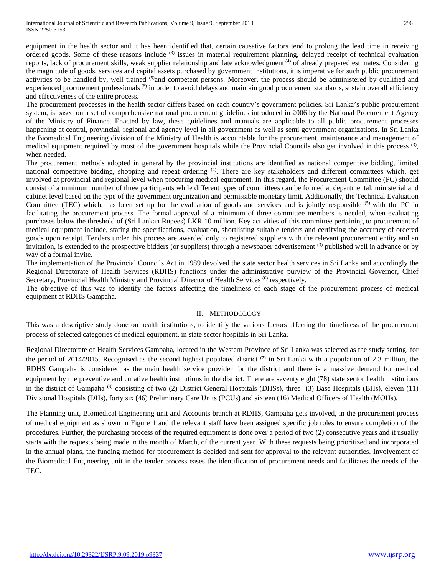equipment in the health sector and it has been identified that, certain causative factors tend to prolong the lead time in receiving ordered goods. Some of these reasons include (3) issues in material requirement planning, delayed receipt of technical evaluation reports, lack of procurement skills, weak supplier relationship and late acknowledgment (4) of already prepared estimates. Considering the magnitude of goods, services and capital assets purchased by government institutions, it is imperative for such public procurement activities to be handled by, well trained (5)and competent persons. Moreover, the process should be administered by qualified and experienced procurement professionals<sup>(6)</sup> in order to avoid delays and maintain good procurement standards, sustain overall efficiency and effectiveness of the entire process.

The procurement processes in the health sector differs based on each country's government policies. Sri Lanka's public procurement system, is based on a set of comprehensive national procurement guidelines introduced in 2006 by the National Procurement Agency of the Ministry of Finance. Enacted by law, these guidelines and manuals are applicable to all public procurement processes happening at central, provincial, regional and agency level in all government as well as semi government organizations. In Sri Lanka the Biomedical Engineering division of the Ministry of Health is accountable for the procurement, maintenance and management of medical equipment required by most of the government hospitals while the Provincial Councils also get involved in this process  $(3)$ , when needed.

The procurement methods adopted in general by the provincial institutions are identified as national competitive bidding, limited national competitive bidding, shopping and repeat ordering <sup>(4)</sup>. There are key stakeholders and different committees which, get involved at provincial and regional level when procuring medical equipment. In this regard, the Procurement Committee (PC) should consist of a minimum number of three participants while different types of committees can be formed at departmental, ministerial and cabinet level based on the type of the government organization and permissible monetary limit. Additionally, the Technical Evaluation Committee (TEC) which, has been set up for the evaluation of goods and services and is jointly responsible  $(5)$  with the PC in facilitating the procurement process. The formal approval of a minimum of three committee members is needed, when evaluating purchases below the threshold of (Sri Lankan Rupees) LKR 10 million. Key activities of this committee pertaining to procurement of medical equipment include, stating the specifications, evaluation, shortlisting suitable tenders and certifying the accuracy of ordered goods upon receipt. Tenders under this process are awarded only to registered suppliers with the relevant procurement entity and an invitation, is extended to the prospective bidders (or suppliers) through a newspaper advertisement <sup>(3)</sup> published well in advance or by way of a formal invite.

The implementation of the Provincial Councils Act in 1989 devolved the state sector health services in Sri Lanka and accordingly the Regional Directorate of Health Services (RDHS) functions under the administrative purview of the Provincial Governor, Chief Secretary, Provincial Health Ministry and Provincial Director of Health Services <sup>(6)</sup> respectively.

The objective of this was to identify the factors affecting the timeliness of each stage of the procurement process of medical equipment at RDHS Gampaha.

## II. METHODOLOGY

This was a descriptive study done on health institutions, to identify the various factors affecting the timeliness of the procurement process of selected categories of medical equipment, in state sector hospitals in Sri Lanka.

Regional Directorate of Health Services Gampaha, located in the Western Province of Sri Lanka was selected as the study setting, for the period of 2014/2015. Recognised as the second highest populated district  $(7)$  in Sri Lanka with a population of 2.3 million, the RDHS Gampaha is considered as the main health service provider for the district and there is a massive demand for medical equipment by the preventive and curative health institutions in the district. There are seventy eight (78) state sector health institutions in the district of Gampaha <sup>(8)</sup> consisting of two (2) District General Hospitals (DHSs), three (3) Base Hospitals (BHs), eleven (11) Divisional Hospitals (DHs), forty six (46) Preliminary Care Units (PCUs) and sixteen (16) Medical Officers of Health (MOHs).

The Planning unit, Biomedical Engineering unit and Accounts branch at RDHS, Gampaha gets involved, in the procurement process of medical equipment as shown in Figure 1 and the relevant staff have been assigned specific job roles to ensure completion of the procedures. Further, the purchasing process of the required equipment is done over a period of two (2) consecutive years and it usually starts with the requests being made in the month of March, of the current year. With these requests being prioritized and incorporated in the annual plans, the funding method for procurement is decided and sent for approval to the relevant authorities. Involvement of the Biomedical Engineering unit in the tender process eases the identification of procurement needs and facilitates the needs of the TEC.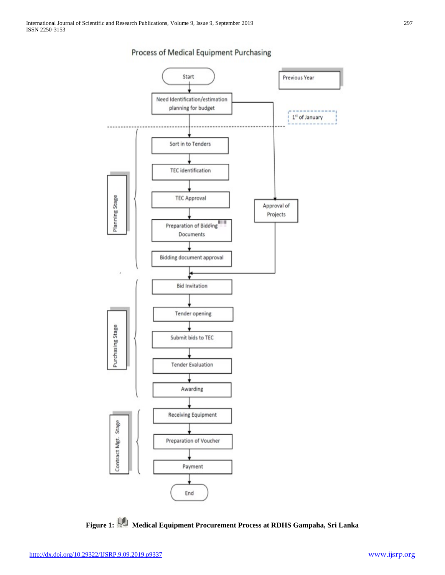

# Process of Medical Equipment Purchasing



Payment

End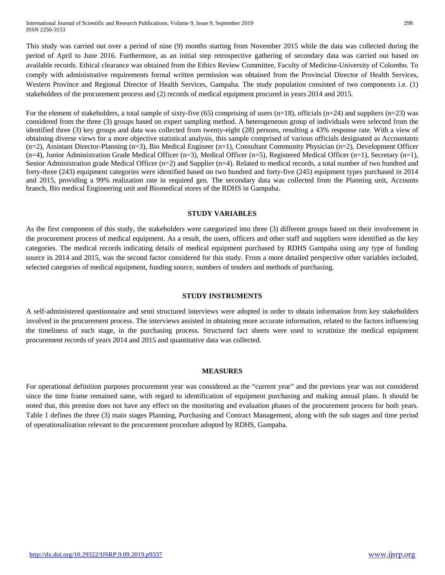This study was carried out over a period of nine (9) months starting from November 2015 while the data was collected during the period of April to June 2016. Furthermore, as an initial step retrospective gathering of secondary data was carried out based on available records. Ethical clearance was obtained from the Ethics Review Committee, Faculty of Medicine-University of Colombo. To comply with administrative requirements formal written permission was obtained from the Provincial Director of Health Services, Western Province and Regional Director of Health Services, Gampaha. The study population consisted of two components i.e. (1) stakeholders of the procurement process and (2) records of medical equipment procured in years 2014 and 2015.

For the element of stakeholders, a total sample of sixty-five (65) comprising of users (n=18), officials (n=24) and suppliers (n=23) was considered from the three (3) groups based on expert sampling method. A heterogeneous group of individuals were selected from the identified three (3) key groups and data was collected from twenty-eight (28) persons, resulting a 43% response rate. With a view of obtaining diverse views for a more objective statistical analysis, this sample comprised of various officials designated as Accountants (n=2), Assistant Director-Planning (n=3), Bio Medical Engineer (n=1), Consultant Community Physician (n=2), Development Officer (n=4), Junior Administration Grade Medical Officer (n=3), Medical Officer (n=5), Registered Medical Officer (n=1), Secretary (n=1), Senior Administration grade Medical Officer (n=2) and Supplier (n=4). Related to medical records, a total number of two hundred and forty-three (243) equipment categories were identified based on two hundred and forty-five (245) equipment types purchased in 2014 and 2015, providing a 99% realization rate in required gen. The secondary data was collected from the Planning unit, Accounts branch, Bio medical Engineering unit and Biomedical stores of the RDHS in Gampaha.

## **STUDY VARIABLES**

As the first component of this study, the stakeholders were categorized into three (3) different groups based on their involvement in the procurement process of medical equipment. As a result, the users, officers and other staff and suppliers were identified as the key categories. The medical records indicating details of medical equipment purchased by RDHS Gampaha using any type of funding source in 2014 and 2015, was the second factor considered for this study. From a more detailed perspective other variables included, selected categories of medical equipment, funding source, numbers of tenders and methods of purchasing.

## **STUDY INSTRUMENTS**

A self-administered questionnaire and semi structured interviews were adopted in order to obtain information from key stakeholders involved in the procurement process. The interviews assisted in obtaining more accurate information, related to the factors influencing the timeliness of each stage, in the purchasing process. Structured fact sheets were used to scrutinize the medical equipment procurement records of years 2014 and 2015 and quantitative data was collected.

## **MEASURES**

For operational definition purposes procurement year was considered as the "current year" and the previous year was not considered since the time frame remained same, with regard to identification of equipment purchasing and making annual plans. It should be noted that, this premise does not have any effect on the monitoring and evaluation phases of the procurement process for both years. Table 1 defines the three (3) main stages Planning, Purchasing and Contract Management, along with the sub stages and time period of operationalization relevant to the procurement procedure adopted by RDHS, Gampaha.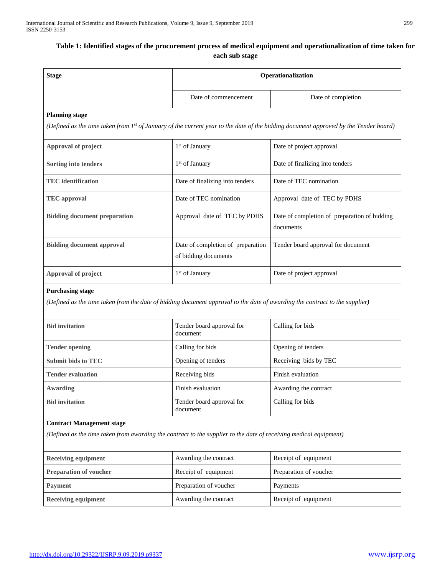## Table 1: Identified stages of the procurement process of medical equipment and operationalization of time taken for **each sub stage**

| <b>Stage</b>                                                                                                                                          | Operationalization                                        |                                                                                                                                      |  |  |  |
|-------------------------------------------------------------------------------------------------------------------------------------------------------|-----------------------------------------------------------|--------------------------------------------------------------------------------------------------------------------------------------|--|--|--|
|                                                                                                                                                       | Date of commencement                                      | Date of completion                                                                                                                   |  |  |  |
| <b>Planning stage</b>                                                                                                                                 |                                                           |                                                                                                                                      |  |  |  |
|                                                                                                                                                       |                                                           | (Defined as the time taken from 1st of January of the current year to the date of the bidding document approved by the Tender board) |  |  |  |
| Approval of project                                                                                                                                   | 1 <sup>st</sup> of January                                | Date of project approval                                                                                                             |  |  |  |
| Sorting into tenders                                                                                                                                  | 1 <sup>st</sup> of January                                | Date of finalizing into tenders                                                                                                      |  |  |  |
| <b>TEC</b> identification                                                                                                                             | Date of finalizing into tenders                           | Date of TEC nomination                                                                                                               |  |  |  |
| <b>TEC</b> approval                                                                                                                                   | Date of TEC nomination                                    | Approval date of TEC by PDHS                                                                                                         |  |  |  |
| <b>Bidding document preparation</b>                                                                                                                   | Approval date of TEC by PDHS                              | Date of completion of preparation of bidding<br>documents                                                                            |  |  |  |
| <b>Bidding document approval</b>                                                                                                                      | Date of completion of preparation<br>of bidding documents | Tender board approval for document                                                                                                   |  |  |  |
| Approval of project                                                                                                                                   | 1 <sup>st</sup> of January                                | Date of project approval                                                                                                             |  |  |  |
| <b>Purchasing stage</b>                                                                                                                               |                                                           |                                                                                                                                      |  |  |  |
| (Defined as the time taken from the date of bidding document approval to the date of awarding the contract to the supplier)                           |                                                           |                                                                                                                                      |  |  |  |
| <b>Bid invitation</b>                                                                                                                                 | Tender board approval for<br>document                     | Calling for bids                                                                                                                     |  |  |  |
| <b>Tender opening</b>                                                                                                                                 | Calling for bids                                          | Opening of tenders                                                                                                                   |  |  |  |
| <b>Submit bids to TEC</b>                                                                                                                             | Opening of tenders                                        | Receiving bids by TEC                                                                                                                |  |  |  |
| <b>Tender evaluation</b>                                                                                                                              | Receiving bids                                            | Finish evaluation                                                                                                                    |  |  |  |
| Awarding                                                                                                                                              | Finish evaluation                                         | Awarding the contract                                                                                                                |  |  |  |
| <b>Bid invitation</b>                                                                                                                                 | Tender board approval for<br>document                     | Calling for bids                                                                                                                     |  |  |  |
| <b>Contract Management stage</b><br>(Defined as the time taken from awarding the contract to the supplier to the date of receiving medical equipment) |                                                           |                                                                                                                                      |  |  |  |
| <b>Receiving equipment</b>                                                                                                                            | Awarding the contract                                     | Receipt of equipment                                                                                                                 |  |  |  |
| <b>Preparation of voucher</b>                                                                                                                         | Receipt of equipment                                      | Preparation of voucher                                                                                                               |  |  |  |
| <b>Payment</b>                                                                                                                                        | Preparation of voucher                                    | Payments                                                                                                                             |  |  |  |
| <b>Receiving equipment</b>                                                                                                                            | Awarding the contract                                     | Receipt of equipment                                                                                                                 |  |  |  |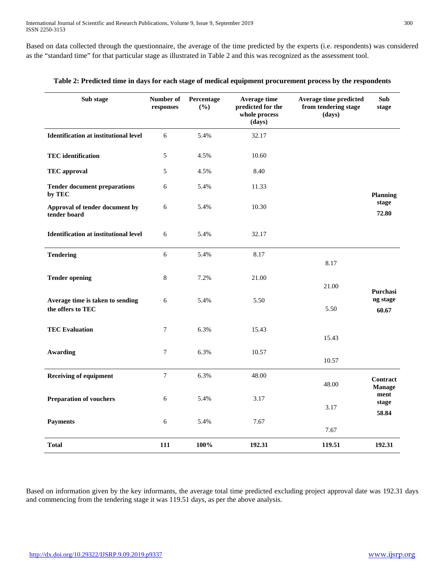Based on data collected through the questionnaire, the average of the time predicted by the experts (i.e. respondents) was considered as the "standard time" for that particular stage as illustrated in Table 2 and this was recognized as the assessment tool.

| Sub stage                                             | Number of<br>responses | Percentage<br>(%) | Average time<br>predicted for the<br>whole process<br>(days) | Average time predicted<br>from tendering stage<br>(days) | Sub<br>stage           |
|-------------------------------------------------------|------------------------|-------------------|--------------------------------------------------------------|----------------------------------------------------------|------------------------|
| <b>Identification at institutional level</b>          | 6                      | 5.4%              | 32.17                                                        |                                                          |                        |
| <b>TEC</b> identification                             | 5                      | 4.5%              | 10.60                                                        |                                                          |                        |
| <b>TEC</b> approval                                   | 5                      | 4.5%              | 8.40                                                         |                                                          |                        |
| <b>Tender document preparations</b><br>by TEC         | 6                      | 5.4%              | 11.33                                                        |                                                          | <b>Planning</b>        |
| Approval of tender document by<br>tender board        | 6                      | 5.4%              | 10.30                                                        |                                                          | stage<br>72.80         |
| <b>Identification at institutional level</b>          | 6                      | 5.4%              | 32.17                                                        |                                                          |                        |
| <b>Tendering</b>                                      | 6                      | 5.4%              | 8.17                                                         | 8.17                                                     |                        |
| <b>Tender opening</b>                                 | 8                      | 7.2%              | 21.00                                                        | 21.00                                                    | Purchasi               |
| Average time is taken to sending<br>the offers to TEC | 6                      | 5.4%              | 5.50                                                         | 5.50                                                     | ng stage<br>60.67      |
| <b>TEC Evaluation</b>                                 | $\boldsymbol{7}$       | 6.3%              | 15.43                                                        | 15.43                                                    |                        |
| <b>Awarding</b>                                       | 7                      | 6.3%              | 10.57                                                        | 10.57                                                    |                        |
| <b>Receiving of equipment</b>                         | $\overline{7}$         | 6.3%              | 48.00                                                        | 48.00                                                    | Contract<br>Manage     |
| <b>Preparation of vouchers</b>                        | 6                      | 5.4%              | 3.17                                                         | 3.17                                                     | ment<br>stage<br>58.84 |
| <b>Payments</b>                                       | 6                      | 5.4%              | 7.67                                                         | 7.67                                                     |                        |
| <b>Total</b>                                          | 111                    | 100%              | 192.31                                                       | 119.51                                                   | 192.31                 |

### Table 2: Predicted time in days for each stage of medical equipment procurement process by the respondents

Based on information given by the key informants, the average total time predicted excluding project approval date was 192.31 days and commencing from the tendering stage it was 119.51 days, as per the above analysis.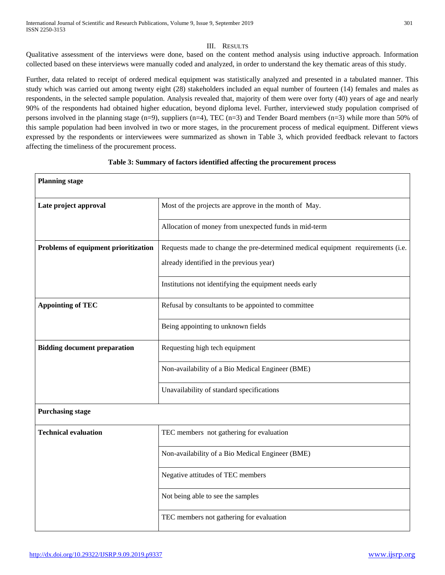## III. RESULTS

Qualitative assessment of the interviews were done, based on the content method analysis using inductive approach. Information collected based on these interviews were manually coded and analyzed, in order to understand the key thematic areas of this study.

Further, data related to receipt of ordered medical equipment was statistically analyzed and presented in a tabulated manner. This study which was carried out among twenty eight (28) stakeholders included an equal number of fourteen (14) females and males as respondents, in the selected sample population. Analysis revealed that, majority of them were over forty (40) years of age and nearly 90% of the respondents had obtained higher education, beyond diploma level. Further, interviewed study population comprised of persons involved in the planning stage (n=9), suppliers (n=4), TEC (n=3) and Tender Board members (n=3) while more than 50% of this sample population had been involved in two or more stages, in the procurement process of medical equipment. Different views expressed by the respondents or interviewees were summarized as shown in Table 3, which provided feedback relevant to factors affecting the timeliness of the procurement process.

| <b>Planning stage</b>                |                                                                                 |  |
|--------------------------------------|---------------------------------------------------------------------------------|--|
| Late project approval                | Most of the projects are approve in the month of May.                           |  |
|                                      | Allocation of money from unexpected funds in mid-term                           |  |
| Problems of equipment prioritization | Requests made to change the pre-determined medical equipment requirements (i.e. |  |
|                                      | already identified in the previous year)                                        |  |
|                                      | Institutions not identifying the equipment needs early                          |  |
| <b>Appointing of TEC</b>             | Refusal by consultants to be appointed to committee                             |  |
|                                      | Being appointing to unknown fields                                              |  |
| <b>Bidding document preparation</b>  | Requesting high tech equipment                                                  |  |
|                                      | Non-availability of a Bio Medical Engineer (BME)                                |  |
|                                      | Unavailability of standard specifications                                       |  |
| <b>Purchasing stage</b>              |                                                                                 |  |
| <b>Technical evaluation</b>          | TEC members not gathering for evaluation                                        |  |
|                                      | Non-availability of a Bio Medical Engineer (BME)                                |  |
|                                      | Negative attitudes of TEC members                                               |  |
|                                      | Not being able to see the samples                                               |  |
|                                      | TEC members not gathering for evaluation                                        |  |

### **Table 3: Summary of factors identified affecting the procurement process**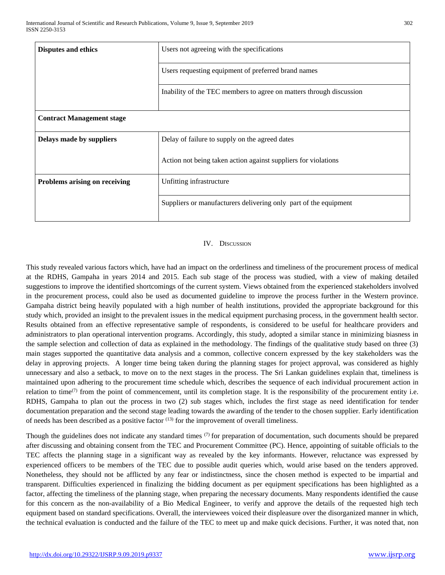| <b>Disputes and ethics</b>           | Users not agreeing with the specifications                          |  |
|--------------------------------------|---------------------------------------------------------------------|--|
|                                      | Users requesting equipment of preferred brand names                 |  |
|                                      | Inability of the TEC members to agree on matters through discussion |  |
| <b>Contract Management stage</b>     |                                                                     |  |
| Delays made by suppliers             | Delay of failure to supply on the agreed dates                      |  |
|                                      | Action not being taken action against suppliers for violations      |  |
| <b>Problems arising on receiving</b> | Unfitting infrastructure                                            |  |
|                                      | Suppliers or manufacturers delivering only part of the equipment    |  |

#### IV. DISCUSSION

This study revealed various factors which, have had an impact on the orderliness and timeliness of the procurement process of medical at the RDHS, Gampaha in years 2014 and 2015. Each sub stage of the process was studied, with a view of making detailed suggestions to improve the identified shortcomings of the current system. Views obtained from the experienced stakeholders involved in the procurement process, could also be used as documented guideline to improve the process further in the Western province. Gampaha district being heavily populated with a high number of health institutions, provided the appropriate background for this study which, provided an insight to the prevalent issues in the medical equipment purchasing process, in the government health sector. Results obtained from an effective representative sample of respondents, is considered to be useful for healthcare providers and administrators to plan operational intervention programs. Accordingly, this study, adopted a similar stance in minimizing biasness in the sample selection and collection of data as explained in the methodology. The findings of the qualitative study based on three (3) main stages supported the quantitative data analysis and a common, collective concern expressed by the key stakeholders was the delay in approving projects. A longer time being taken during the planning stages for project approval, was considered as highly unnecessary and also a setback, to move on to the next stages in the process. The Sri Lankan guidelines explain that, timeliness is maintained upon adhering to the procurement time schedule which, describes the sequence of each individual procurement action in relation to time<sup> $(7)$ </sup> from the point of commencement, until its completion stage. It is the responsibility of the procurement entity i.e. RDHS, Gampaha to plan out the process in two (2) sub stages which, includes the first stage as need identification for tender documentation preparation and the second stage leading towards the awarding of the tender to the chosen supplier. Early identification of needs has been described as a positive factor (13) for the improvement of overall timeliness.

Though the guidelines does not indicate any standard times  $(7)$  for preparation of documentation, such documents should be prepared after discussing and obtaining consent from the TEC and Procurement Committee (PC). Hence, appointing of suitable officials to the TEC affects the planning stage in a significant way as revealed by the key informants. However, reluctance was expressed by experienced officers to be members of the TEC due to possible audit queries which, would arise based on the tenders approved. Nonetheless, they should not be afflicted by any fear or indistinctness, since the chosen method is expected to be impartial and transparent. Difficulties experienced in finalizing the bidding document as per equipment specifications has been highlighted as a factor, affecting the timeliness of the planning stage, when preparing the necessary documents. Many respondents identified the cause for this concern as the non-availability of a Bio Medical Engineer, to verify and approve the details of the requested high tech equipment based on standard specifications. Overall, the interviewees voiced their displeasure over the disorganized manner in which, the technical evaluation is conducted and the failure of the TEC to meet up and make quick decisions. Further, it was noted that, non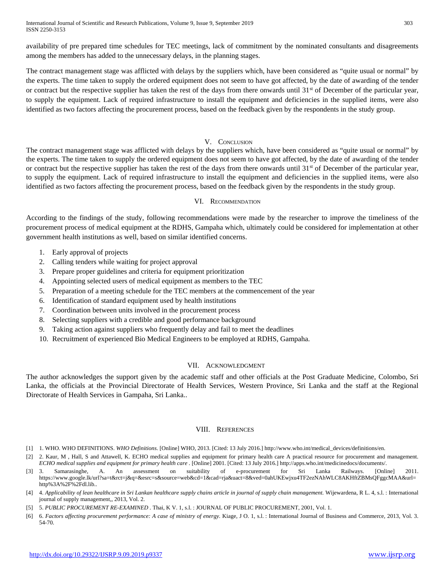availability of pre prepared time schedules for TEC meetings, lack of commitment by the nominated consultants and disagreements among the members has added to the unnecessary delays, in the planning stages.

The contract management stage was afflicted with delays by the suppliers which, have been considered as "quite usual or normal" by the experts. The time taken to supply the ordered equipment does not seem to have got affected, by the date of awarding of the tender or contract but the respective supplier has taken the rest of the days from there onwards until 31<sup>st</sup> of December of the particular year, to supply the equipment. Lack of required infrastructure to install the equipment and deficiencies in the supplied items, were also identified as two factors affecting the procurement process, based on the feedback given by the respondents in the study group.

## V. CONCLUSION

The contract management stage was afflicted with delays by the suppliers which, have been considered as "quite usual or normal" by the experts. The time taken to supply the ordered equipment does not seem to have got affected, by the date of awarding of the tender or contract but the respective supplier has taken the rest of the days from there onwards until 31<sup>st</sup> of December of the particular year, to supply the equipment. Lack of required infrastructure to install the equipment and deficiencies in the supplied items, were also identified as two factors affecting the procurement process, based on the feedback given by the respondents in the study group.

### VI. RECOMMENDATION

According to the findings of the study, following recommendations were made by the researcher to improve the timeliness of the procurement process of medical equipment at the RDHS, Gampaha which, ultimately could be considered for implementation at other government health institutions as well, based on similar identified concerns.

- 1. Early approval of projects
- 2. Calling tenders while waiting for project approval
- 3. Prepare proper guidelines and criteria for equipment prioritization
- 4. Appointing selected users of medical equipment as members to the TEC
- 5. Preparation of a meeting schedule for the TEC members at the commencement of the year
- 6. Identification of standard equipment used by health institutions
- 7. Coordination between units involved in the procurement process
- 8. Selecting suppliers with a credible and good performance background
- 9. Taking action against suppliers who frequently delay and fail to meet the deadlines
- 10. Recruitment of experienced Bio Medical Engineers to be employed at RDHS, Gampaha.

## VII. ACKNOWLEDGMENT

The author acknowledges the support given by the academic staff and other officials at the Post Graduate Medicine, Colombo, Sri Lanka, the officials at the Provincial Directorate of Health Services, Western Province, Sri Lanka and the staff at the Regional Directorate of Health Services in Gampaha, Sri Lanka..

## VIII. REFERENCES

- [1] 1. WHO. WHO DEFINITIONS. *WHO Definitions.* [Online] WHO, 2013. [Cited: 13 July 2016.] http://www.who.int/medical\_devices/definitions/en.
- [2] 2. Kaur, M, Hall, S and Attawell, K. ECHO medical supplies and equipment for primary health care A practical resource for procurement and management. *ECHO medical supplies and equipment for primary health care .* [Online] 2001. [Cited: 13 July 2016.] http://apps.who.int/medicinedocs/documents/.
- [3] 3. Samarasinghe, A. An assessment on suitability of e-procurement for Sri Lanka Railways. [Online] 2011. https://www.google.lk/url?sa=t&rct=j&q=&esrc=s&source=web&cd=1&cad=rja&uact=8&ved=0ahUKEwjxu4TF2ezNAhWLC8AKHftZBMsQFggcMAA&url= http%3A%2F%2Fdl.lib..
- [4] 4. *Applicability of lean healthcare in Sri Lankan healthcare supply chains article in journal of supply chain management. Wijewardena, R L. 4, s.l. : International* journal of supply management,, 2013, Vol. 2.
- [5] 5. *PUBLIC PROCUREMENT RE-EXAMINED .* Thai, K V. 1, s.l. : JOURNAL OF PUBLIC PROCUREMENT, 2001, Vol. 1.
- [6] 6. Factors affecting procurement performance: A case of ministry of energy. Kiage, J O. 1, s.l. : International Journal of Business and Commerce, 2013, Vol. 3. 54-70.